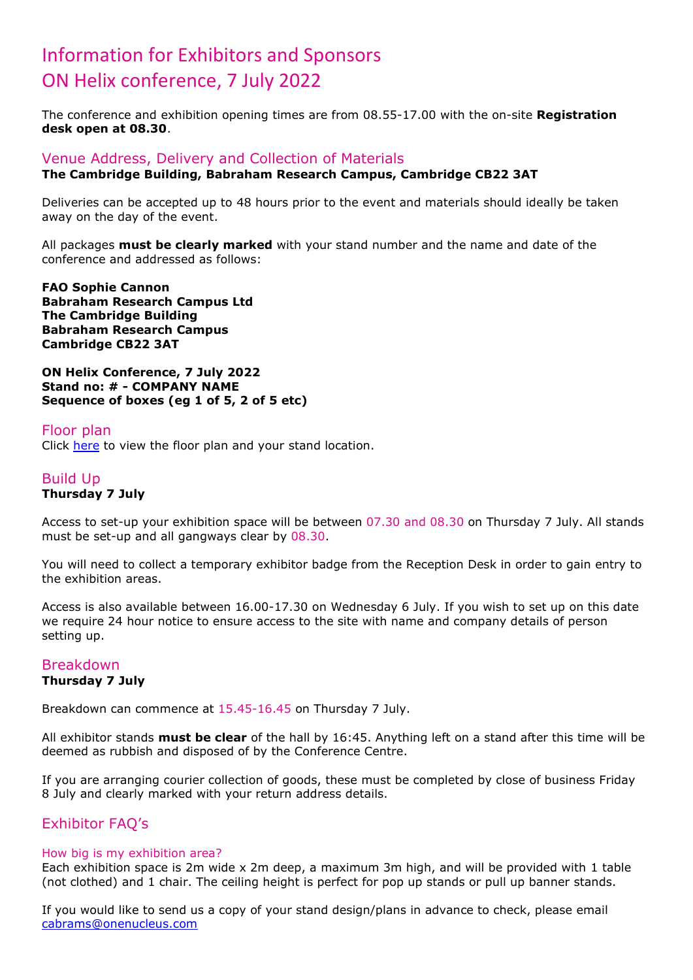## Information for Exhibitors and Sponsors ON Helix conference, 7 July 2022

The conference and exhibition opening times are from 08.55-17.00 with the on-site **Registration desk open at 08.30**.

#### Venue Address, Delivery and Collection of Materials **The Cambridge Building, Babraham Research Campus, Cambridge CB22 3AT**

Deliveries can be accepted up to 48 hours prior to the event and materials should ideally be taken away on the day of the event.

All packages **must be clearly marked** with your stand number and the name and date of the conference and addressed as follows:

**FAO Sophie Cannon Babraham Research Campus Ltd The Cambridge Building Babraham Research Campus Cambridge CB22 3AT**

**ON Helix Conference, 7 July 2022 Stand no: # - COMPANY NAME Sequence of boxes (eg 1 of 5, 2 of 5 etc)**

#### Floor plan

Click [here](http://www.onhelix.com/floorplan/) to view the floor plan and your stand location.

#### Build Up **Thursday 7 July**

Access to set-up your exhibition space will be between 07.30 and 08.30 on Thursday 7 July. All stands must be set-up and all gangways clear by 08.30.

You will need to collect a temporary exhibitor badge from the Reception Desk in order to gain entry to the exhibition areas.

Access is also available between 16.00-17.30 on Wednesday 6 July. If you wish to set up on this date we require 24 hour notice to ensure access to the site with name and company details of person setting up.

# Breakdown

## **Thursday 7 July**

Breakdown can commence at 15.45-16.45 on Thursday 7 July.

All exhibitor stands **must be clear** of the hall by 16:45. Anything left on a stand after this time will be deemed as rubbish and disposed of by the Conference Centre.

If you are arranging courier collection of goods, these must be completed by close of business Friday 8 July and clearly marked with your return address details.

### Exhibitor FAQ's

#### How big is my exhibition area?

Each exhibition space is 2m wide x 2m deep, a maximum 3m high, and will be provided with 1 table (not clothed) and 1 chair. The ceiling height is perfect for pop up stands or pull up banner stands.

If you would like to send us a copy of your stand design/plans in advance to check, please email [cabrams@onenucleus.com](mailto:cabrams@onenucleus.com)